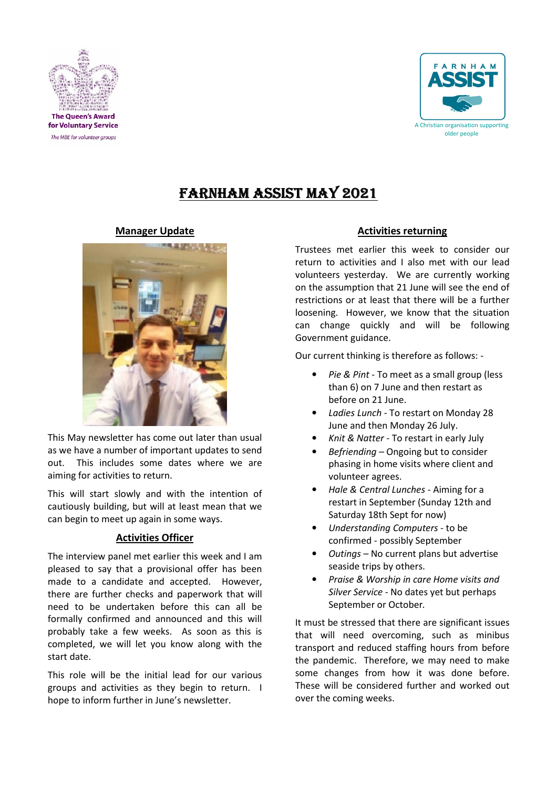



# FARNHAM ASSIST MAY 2021

# Manager Update



This May newsletter has come out later than usual as we have a number of important updates to send out. This includes some dates where we are aiming for activities to return.

This will start slowly and with the intention of cautiously building, but will at least mean that we can begin to meet up again in some ways.

# Activities Officer

The interview panel met earlier this week and I am pleased to say that a provisional offer has been made to a candidate and accepted. However, there are further checks and paperwork that will need to be undertaken before this can all be formally confirmed and announced and this will probably take a few weeks. As soon as this is completed, we will let you know along with the start date.

This role will be the initial lead for our various groups and activities as they begin to return. I hope to inform further in June's newsletter.

# Activities returning

Trustees met earlier this week to consider our return to activities and I also met with our lead volunteers yesterday. We are currently working on the assumption that 21 June will see the end of restrictions or at least that there will be a further loosening. However, we know that the situation can change quickly and will be following Government guidance.

Our current thinking is therefore as follows: -

- Pie & Pint To meet as a small group (less than 6) on 7 June and then restart as before on 21 June.
- Ladies Lunch To restart on Monday 28 June and then Monday 26 July.
- Knit & Natter To restart in early July
- Befriending Ongoing but to consider phasing in home visits where client and volunteer agrees.
- Hale & Central Lunches Aiming for a restart in September (Sunday 12th and Saturday 18th Sept for now)
- Understanding Computers to be confirmed - possibly September
- Outings No current plans but advertise seaside trips by others.
- Praise & Worship in care Home visits and Silver Service - No dates yet but perhaps September or October.

It must be stressed that there are significant issues that will need overcoming, such as minibus transport and reduced staffing hours from before the pandemic. Therefore, we may need to make some changes from how it was done before. These will be considered further and worked out over the coming weeks.